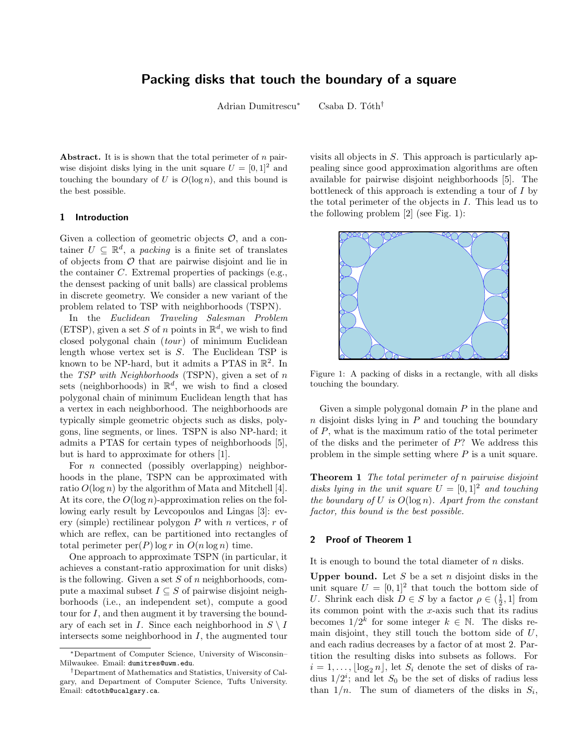## Packing disks that touch the boundary of a square

Adrian Dumitrescu<sup>∗</sup> Csaba D. Tóth<sup>†</sup>

Abstract. It is is shown that the total perimeter of  $n$  pairwise disjoint disks lying in the unit square  $U = [0, 1]^2$  and touching the boundary of U is  $O(\log n)$ , and this bound is the best possible.

## 1 Introduction

Given a collection of geometric objects  $\mathcal{O}$ , and a container  $U \subseteq \mathbb{R}^d$ , a *packing* is a finite set of translates of objects from  $O$  that are pairwise disjoint and lie in the container C. Extremal properties of packings (e.g., the densest packing of unit balls) are classical problems in discrete geometry. We consider a new variant of the problem related to TSP with neighborhoods (TSPN).

In the Euclidean Traveling Salesman Problem (ETSP), given a set S of n points in  $\mathbb{R}^d$ , we wish to find closed polygonal chain  $(tour)$  of minimum Euclidean length whose vertex set is S. The Euclidean TSP is known to be NP-hard, but it admits a PTAS in  $\mathbb{R}^2$ . In the TSP with Neighborhoods (TSPN), given a set of  $n$ sets (neighborhoods) in  $\mathbb{R}^d$ , we wish to find a closed polygonal chain of minimum Euclidean length that has a vertex in each neighborhood. The neighborhoods are typically simple geometric objects such as disks, polygons, line segments, or lines. TSPN is also NP-hard; it admits a PTAS for certain types of neighborhoods [5], but is hard to approximate for others [1].

For  $n$  connected (possibly overlapping) neighborhoods in the plane, TSPN can be approximated with ratio  $O(\log n)$  by the algorithm of Mata and Mitchell [4]. At its core, the  $O(\log n)$ -approximation relies on the following early result by Levcopoulos and Lingas [3]: every (simple) rectilinear polygon  $P$  with  $n$  vertices,  $r$  of which are reflex, can be partitioned into rectangles of total perimeter  $\text{per}(P)$  log r in  $O(n \log n)$  time.

One approach to approximate TSPN (in particular, it achieves a constant-ratio approximation for unit disks) is the following. Given a set  $S$  of  $n$  neighborhoods, compute a maximal subset  $I \subseteq S$  of pairwise disjoint neighborhoods (i.e., an independent set), compute a good tour for I, and then augment it by traversing the boundary of each set in I. Since each neighborhood in  $S \setminus I$ intersects some neighborhood in  $I$ , the augmented tour

visits all objects in S. This approach is particularly appealing since good approximation algorithms are often available for pairwise disjoint neighborhoods [5]. The bottleneck of this approach is extending a tour of  $I$  by the total perimeter of the objects in I. This lead us to the following problem [2] (see Fig. 1):



Figure 1: A packing of disks in a rectangle, with all disks touching the boundary.

Given a simple polygonal domain  $P$  in the plane and  $n$  disjoint disks lying in  $P$  and touching the boundary of P, what is the maximum ratio of the total perimeter of the disks and the perimeter of P? We address this problem in the simple setting where  $P$  is a unit square.

**Theorem 1** The total perimeter of n pairwise disjoint disks lying in the unit square  $U = [0, 1]^2$  and touching the boundary of U is  $O(\log n)$ . Apart from the constant factor, this bound is the best possible.

## 2 Proof of Theorem 1

It is enough to bound the total diameter of  $n$  disks.

Upper bound. Let  $S$  be a set  $n$  disjoint disks in the unit square  $U = [0, 1]^2$  that touch the bottom side of U. Shrink each disk  $D \in S$  by a factor  $\rho \in \left(\frac{1}{2}, 1\right]$  from its common point with the  $x$ -axis such that its radius becomes  $1/2^k$  for some integer  $k \in \mathbb{N}$ . The disks remain disjoint, they still touch the bottom side of  $U$ , and each radius decreases by a factor of at most 2. Partition the resulting disks into subsets as follows. For  $i = 1, \ldots, \lceil \log_2 n \rceil$ , let  $S_i$  denote the set of disks of radius  $1/2^i$ ; and let  $S_0$  be the set of disks of radius less than  $1/n$ . The sum of diameters of the disks in  $S_i$ ,

<sup>∗</sup>Department of Computer Science, University of Wisconsin– Milwaukee. Email: dumitres@uwm.edu.

<sup>†</sup>Department of Mathematics and Statistics, University of Calgary, and Department of Computer Science, Tufts University. Email: cdtoth@ucalgary.ca.